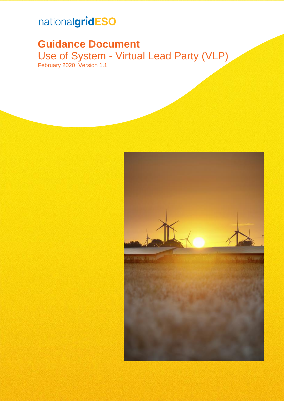# nationalgridESO

# **Guidance Document**

Use of System - Virtual Lead Party (VLP) February 2020 Version 1.1

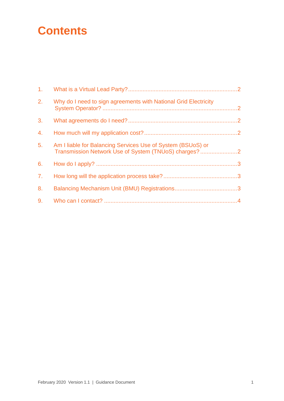# **Contents**

| 2. | Why do I need to sign agreements with National Grid Electricity |  |
|----|-----------------------------------------------------------------|--|
| 3. |                                                                 |  |
| 4. |                                                                 |  |
| 5. | Am I liable for Balancing Services Use of System (BSUoS) or     |  |
| 6. |                                                                 |  |
| 7. |                                                                 |  |
| 8. |                                                                 |  |
| 9. |                                                                 |  |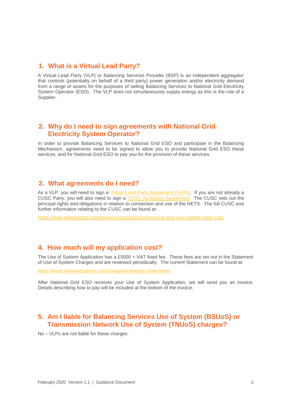#### <span id="page-2-0"></span>**1. What is a Virtual Lead Party?**

A Virtual Lead Party (VLP) or Balancing Services Provider (BSP) is an independent aggregator that controls (potentially on behalf of a third party) power generation and/or electricity demand from a range of assets for the purposes of selling Balancing Services to National Grid Electricity System Operator (ESO). The VLP does not simultaneously supply energy as this is the role of a Supplier.

#### <span id="page-2-1"></span>**2. Why do I need to sign agreements with National Grid Electricity System Operator?**

In order to provide Balancing Services to National Grid ESO and participate in the Balancing Mechanism, agreements need to be signed to allow you to provide National Grid ESO these services, and for National Grid ESO to pay you for the provision of these services.

#### <span id="page-2-2"></span>**3. What agreements do I need?**

As a VLP, you will need to sign a [Virtual Lead Party Agreement \(VLPA\).](https://www.nationalgrideso.com/document/157981/download) If you are not already a CUSC Party, you will also need to sign a [CUSC Accession Agreement.](https://www.nationalgrideso.com/document/91421/download) The CUSC sets out the principal rights and obligations in relation to connection and use of the NETS. The full CUSC and further information relating to the CUSC can be found at:

<https://www.nationalgrid.com/uk/electricity/codes/connection-and-use-system-code-cusc>

#### <span id="page-2-3"></span>**4. How much will my application cost?**

The Use of System Application has a £5000 + VAT fixed fee. These fees are set out in the Statement of Use of System Charges and are reviewed periodically. The current Statement can be found at:

<https://www.nationalgrideso.com/charging/charging-statements>

After National Grid ESO receives your Use of System Application, we will send you an invoice. Details describing how to pay will be included at the bottom of the invoice.

## <span id="page-2-4"></span>**5. Am I liable for Balancing Services Use of System (BSUoS) or Transmission Network Use of System (TNUoS) charges?**

No – VLPs are not liable for these charges.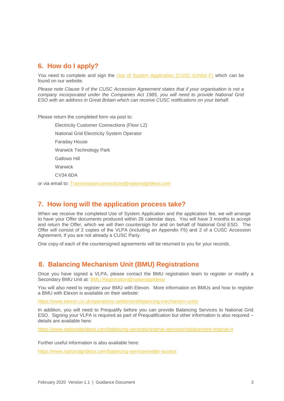## <span id="page-3-0"></span>**6. How do I apply?**

You need to complete and sign the [Use of System Application \(CUSC Exhibit F\)](https://www.nationalgrideso.com/document/91446/download) which can be found on our website.

*Please note Clause 9 of the CUSC Accession Agreement states that if your organisation is not a company incorporated under the Companies Act 1985, you will need to provide National Grid ESO with an address in Great Britain which can receive CUSC notifications on your behalf.*

Please return the completed form via post to:

Electricity Customer Connections (Floor L2)

National Grid Electricity System Operator

Faraday House

Warwick Technology Park

Gallows Hill

**Warwick** 

CV34 6DA

or via email to: [Transmissionconnections@nationalgrideso.com](mailto:Transmissionconnections@nationalgrideso.com)

### <span id="page-3-1"></span>**7. How long will the application process take?**

When we receive the completed Use of System Application and the application fee, we will arrange to have your Offer documents produced within 28 calendar days. You will have 3 months to accept and return the Offer, which we will then countersign for and on behalf of National Grid ESO. The Offer will consist of 2 copies of the VLPA (including an Appendix F5) and 2 of a CUSC Accession Agreement, if you are not already a CUSC Party.

One copy of each of the countersigned agreements will be returned to you for your records.

### <span id="page-3-2"></span>**8. Balancing Mechanism Unit (BMU) Registrations**

Once you have signed a VLPA, please contact the BMU registration team to register or modify a Secondary BMU Unit at: [BMU.Registration@nationalgrideso](mailto:BMU.Registration@nationalgrideso)

You will also need to register your BMU with Elexon. More information on BMUs and how to register a BMU with Elexon is available on their website:

<https://www.elexon.co.uk/operations-settlement/balancing-mechanism-units/>

In addition, you will need to Prequalify before you can provide Balancing Services to National Grid ESO. Signing your VLPA is required as part of Prequalification but other information is also required – details are available here:

<https://www.nationalgrideso.com/balancing-services/reserve-services/replacement-reserve-rr>

Further useful information is also available here:

<https://www.nationalgrideso.com/balancing-services/wider-access>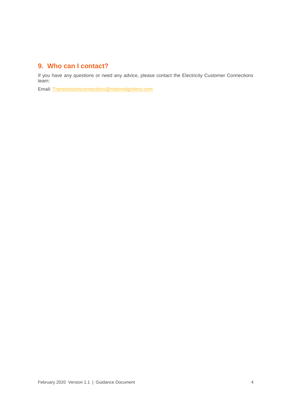## <span id="page-4-0"></span>**9. Who can I contact?**

If you have any questions or need any advice, please contact the Electricity Customer Connections team:

Email: [Transmissionconnections@nationalgrideso.com](mailto:Transmissionconnections@nationalgrideso.com)